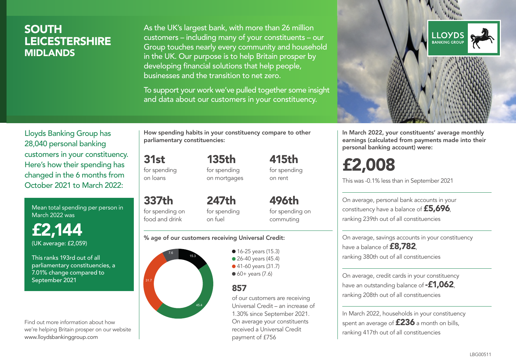### SOUTH LEICESTERSHIRE MIDLANDS

As the UK's largest bank, with more than 26 million customers – including many of your constituents – our Group touches nearly every community and household in the UK. Our purpose is to help Britain prosper by developing financial solutions that help people, businesses and the transition to net zero.

To support your work we've pulled together some insight and data about our customers in your constituency.



Mean total spending per person in March 2022 was

£2,144 (UK average: £2,059)

This ranks 193rd out of all parliamentary constituencies, a 7.01% change compared to September 2021

Find out more information about how we're helping Britain prosper on our website www.lloydsbankinggroup.com

How spending habits in your constituency compare to other parliamentary constituencies:

> 135th for spending on mortgages

31st for spending on loans

337th for spending on food and drink 247th for spending on fuel

496th for spending on commuting

415th for spending on rent

#### % age of our customers receiving Universal Credit:



• 16-25 years (15.3) • 26-40 years (45.4) ● 41-60 years (31.7)  $60+$  years (7.6)

### 857

of our customers are receiving Universal Credit – an increase of 1.30% since September 2021. On average your constituents received a Universal Credit payment of £756



In March 2022, your constituents' average monthly earnings (calculated from payments made into their personal banking account) were:

# £2,008

This was -0.1% less than in September 2021

On average, personal bank accounts in your constituency have a balance of £5,696, ranking 239th out of all constituencies

On average, savings accounts in your constituency have a balance of **£8,782**, ranking 380th out of all constituencies

On average, credit cards in your constituency have an outstanding balance of **-£1,062**, ranking 208th out of all constituencies

In March 2022, households in your constituency spent an average of  $£236$  a month on bills, ranking 417th out of all constituencies